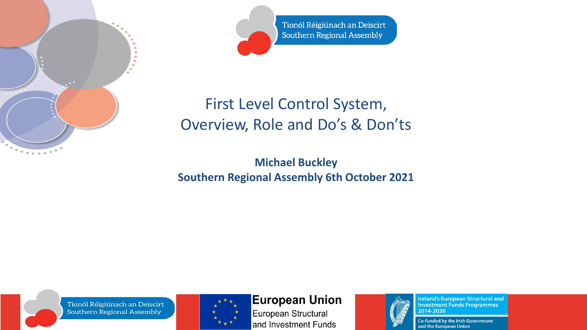

Tionól Réigiúnach an Deiscirt **Southern Regional Assembly** 

### First Level Control System, Overview, Role and Do's & Don'ts

**Michael Buckley Southern Regional Assembly 6th October 2021**

Tionól Réigiúnach an Deiscirt **Southern Regional Assembly** 



#### **European Union**

European Structural and Investment Funds



**Ireland's European Structural and Investment Funds Programmes** 2014-2020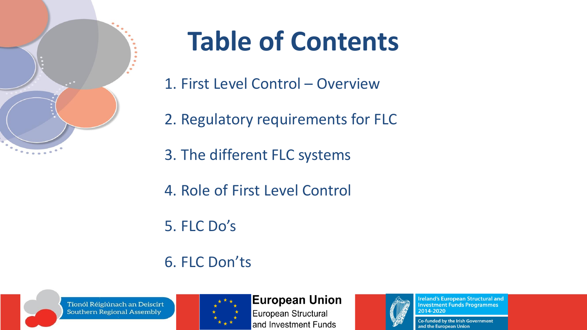

## **Table of Contents**

- 1. First Level Control Overview
- 2. Regulatory requirements for FLC
- 3. The different FLC systems
- 4. Role of First Level Control
- 5. FLC Do's

### 6. FLC Don'ts





#### **European Union**

European Structural and Investment Funds



**Ireland's European Structural and Investment Funds Programmes** 2014-2020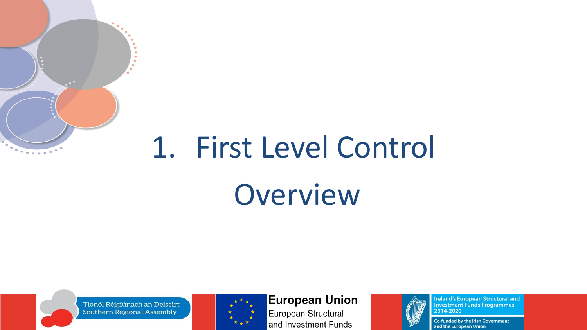# 1. First Level Control Overview

Tionól Réigiúnach an Deiscirt **Southern Regional Assembly** 



#### **European Union**

European Structural and Investment Funds



**Ireland's European Structural and Investment Funds Programmes** 2014-2020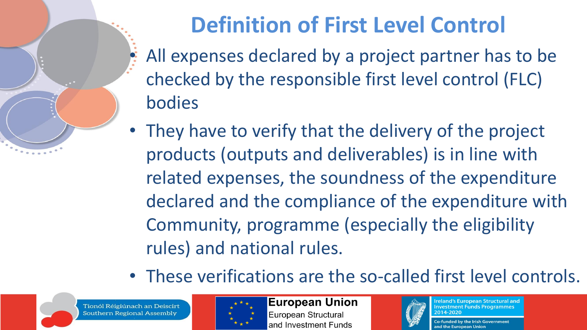

### **Definition of First Level Control**

- All expenses declared by a project partner has to be checked by the responsible first level control (FLC) bodies
- They have to verify that the delivery of the project products (outputs and deliverables) is in line with related expenses, the soundness of the expenditure declared and the compliance of the expenditure with Community, programme (especially the eligibility rules) and national rules.
- These verifications are the so-called first level controls.

Tionól Réigiúnach an Deiscirt **Southern Regional Assembly** 



**European Union** European Structural and Investment Funds



**Ireland's European Structural and Investment Funds Programmes**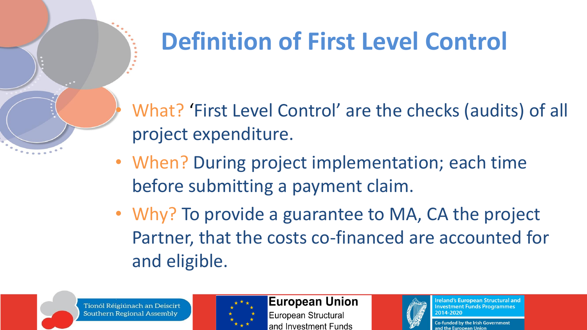### **Definition of First Level Control**

• What? 'First Level Control' are the checks (audits) of all project expenditure.

- When? During project implementation; each time before submitting a payment claim.
- Why? To provide a guarantee to MA, CA the project Partner, that the costs co-financed are accounted for and eligible.





**European Union** 

European Structural and Investment Funds



reland's European Structural and **Investment Funds Programmes**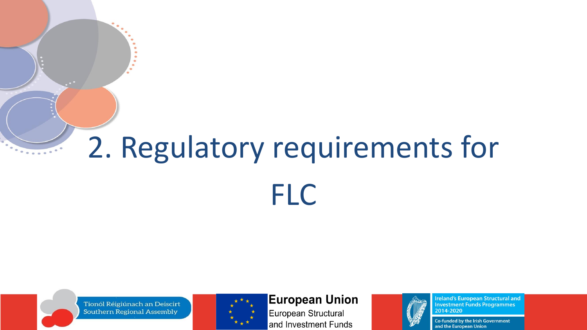# 2. Regulatory requirements for **FLC**

Tionól Réigiúnach an Deiscirt **Southern Regional Assembly** 



#### **European Union**

European Structural and Investment Funds



**Ireland's European Structural and Investment Funds Programmes** 2014-2020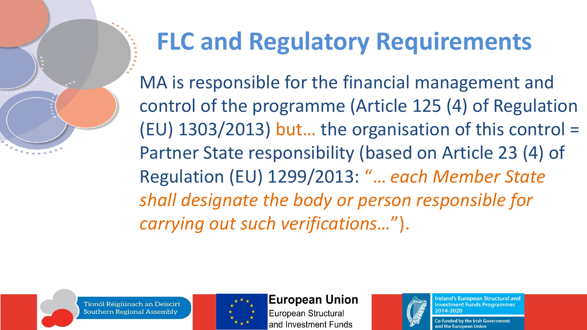

### **FLC and Regulatory Requirements**

MA is responsible for the financial management and control of the programme (Article 125 (4) of Regulation (EU) 1303/2013) but… the organisation of this control = Partner State responsibility (based on Article 23 (4) of Regulation (EU) 1299/2013: "… *each Member State shall designate the body or person responsible for carrying out such verifications…*").

Tionól Réigiúnach an Deiscirt **Southern Regional Assembly** 



#### **European Union**

European Structural and Investment Funds



**reland's European Structural and Investment Funds Programmes** 2014-2020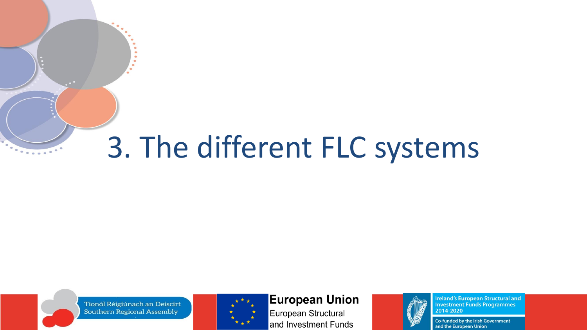## 3. The different FLC systems

Tionól Réigiúnach an Deiscirt **Southern Regional Assembly** 



#### **European Union**

European Structural and Investment Funds



**Ireland's European Structural and Investment Funds Programmes** 2014-2020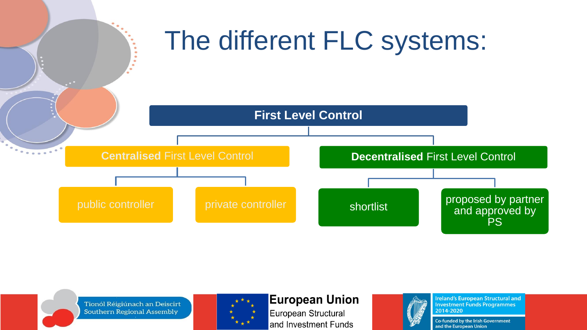





#### **European Union**

European Structural and Investment Funds



**Ireland's European Structural and Investment Funds Programmes** 2014-2020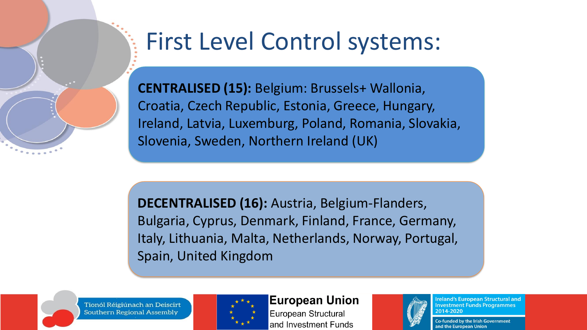

### First Level Control systems:

**CENTRALISED (15):** Belgium: Brussels+ Wallonia, Croatia, Czech Republic, Estonia, Greece, Hungary, Ireland, Latvia, Luxemburg, Poland, Romania, Slovakia, Slovenia, Sweden, Northern Ireland (UK)

**DECENTRALISED (16):** Austria, Belgium-Flanders, Bulgaria, Cyprus, Denmark, Finland, France, Germany, Italy, Lithuania, Malta, Netherlands, Norway, Portugal, Spain, United Kingdom

Tionól Réigiúnach an Deiscirt **Southern Regional Assembly** 



#### **European Union**

European Structural and Investment Funds



**Ireland's European Structural and Investment Funds Programmes** 2014-2020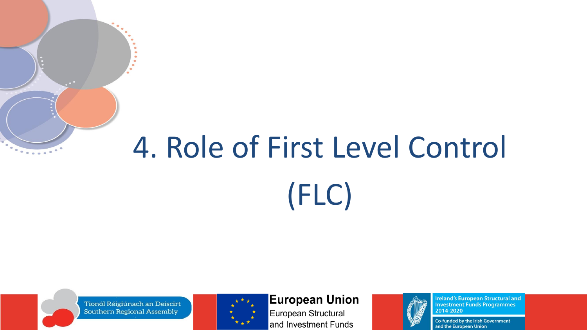# 4. Role of First Level Control (FLC)

Tionól Réigiúnach an Deiscirt **Southern Regional Assembly** 



#### **European Union**

European Structural and Investment Funds



**Ireland's European Structural and Investment Funds Programmes** 2014-2020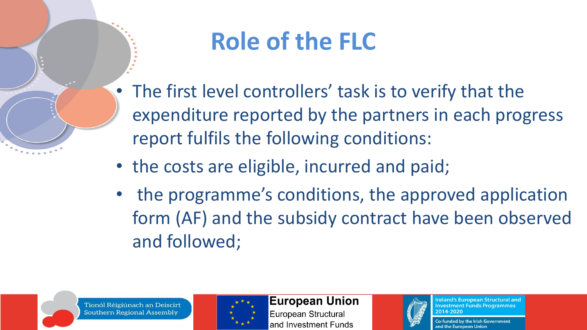

### **Role of the FLC**

- The first level controllers' task is to verify that the expenditure reported by the partners in each progress report fulfils the following conditions:
- the costs are eligible, incurred and paid;
- the programme's conditions, the approved application form (AF) and the subsidy contract have been observed and followed;



#### **European Union**

European Structural and Investment Funds



**Ireland's European Structural and Investment Funds Programmes** 2014-2020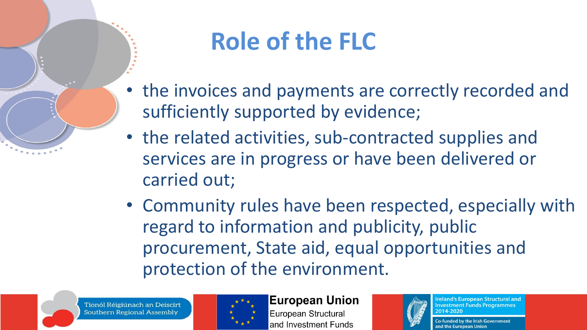

### **Role of the FLC**

- the invoices and payments are correctly recorded and sufficiently supported by evidence;
- the related activities, sub-contracted supplies and services are in progress or have been delivered or carried out;
- Community rules have been respected, especially with regard to information and publicity, public procurement, State aid, equal opportunities and protection of the environment.

Tionól Réigiúnach an Deiscirt **Southern Regional Assembly** 



**European Union** European Structural and Investment Funds



**Ireland's European Structural and Investment Funds Programmes** 2014-2020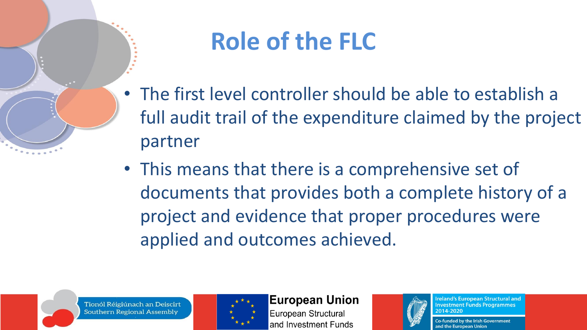

### **Role of the FLC**

- The first level controller should be able to establish a full audit trail of the expenditure claimed by the project partner
- This means that there is a comprehensive set of documents that provides both a complete history of a project and evidence that proper procedures were applied and outcomes achieved.





#### **European Union**

European Structural and Investment Funds



reland's European Structural and **Investment Funds Programmes** 2014-2020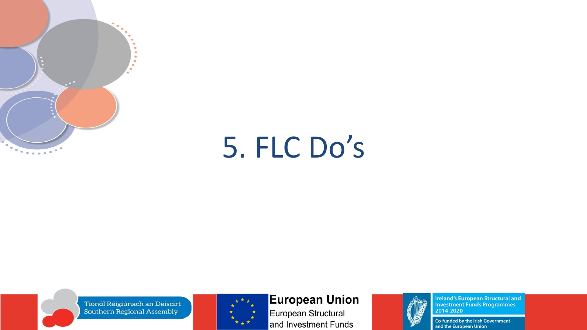

## 5. FLC Do's

Tionól Réigiúnach an Deiscirt Southern Regional Assembly



#### **European Union**

European Structural and Investment Funds



**Ireland's European Structural and<br>Investment Funds Programmes<br>2014-2020**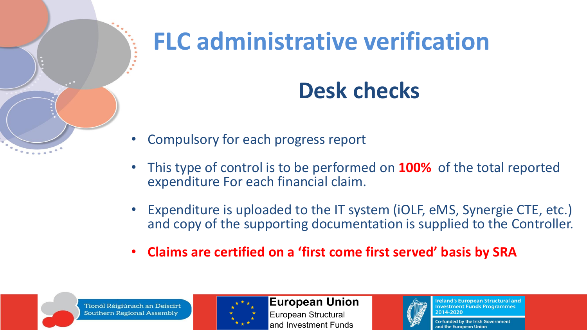

# **FLC administrative verification**

### **Desk checks**

- Compulsory for each progress report
- This type of control is to be performed on **100%** of the total reported expenditure For each financial claim.
- Expenditure is uploaded to the IT system (iOLF, eMS, Synergie CTE, etc.) and copy of the supporting documentation is supplied to the Controller.
- **Claims are certified on a 'first come first served' basis by SRA**





**European Union** European Structural and Investment Funds



**Ireland's European Structural and Investment Funds Programmes** 2014-2020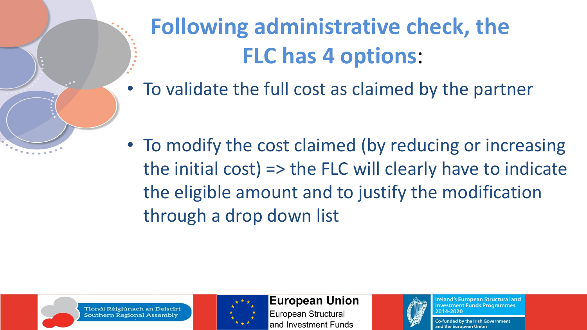

the initial cost) => the FLC will clearly have to indicate the eligible amount and to justify the modification through a drop down list



Tionól Réigiúnach an Deiscirt Southern Regional Assembly



**European Union** 

European Structural and Investment Funds



**Ireland's European Structural and Investment Funds Programmes** 2014-2020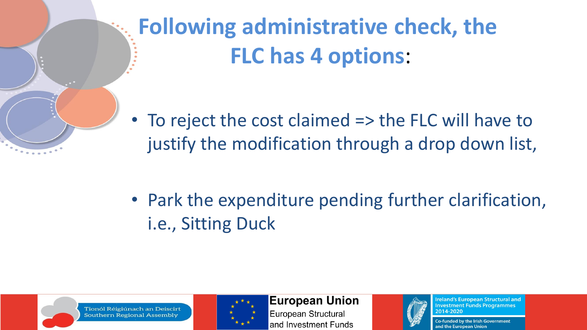

**Following administrative check, the FLC has 4 options**:

• To reject the cost claimed => the FLC will have to justify the modification through a drop down list,

• Park the expenditure pending further clarification, i.e., Sitting Duck



Tionól Réigiúnach an Deiscirt Southern Regional Assembly



**European Union** 

European Structural and Investment Funds



**Ireland's European Structural and Investment Funds Programmes** 2014-2020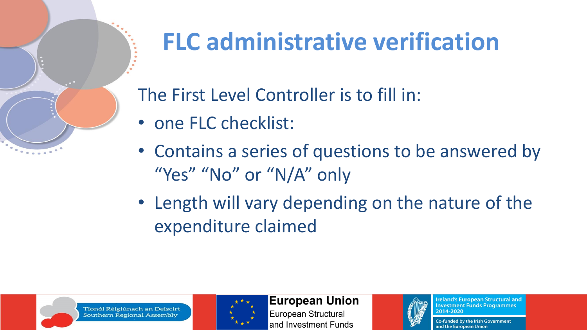

## **FLC administrative verification**

The First Level Controller is to fill in:

- one FLC checklist:
- Contains a series of questions to be answered by "Yes" "No" or "N/A" only
- Length will vary depending on the nature of the expenditure claimed





**European Union** 

European Structural and Investment Funds



**Ireland's European Structural and Investment Funds Programmes** 2014-2020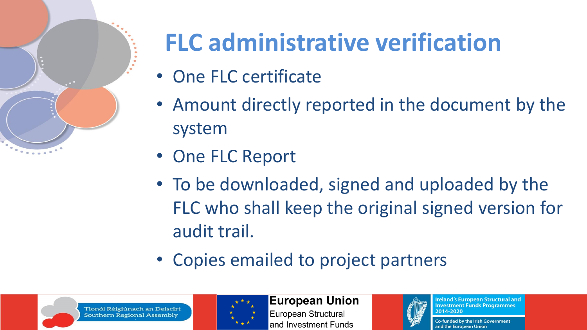

## **FLC administrative verification**

- One FLC certificate
- Amount directly reported in the document by the system
- One FLC Report
- To be downloaded, signed and uploaded by the FLC who shall keep the original signed version for audit trail.
- Copies emailed to project partners





**European Union** European Structural and Investment Funds



**Ireland's European Structural and Investment Funds Programmes** 2014-2020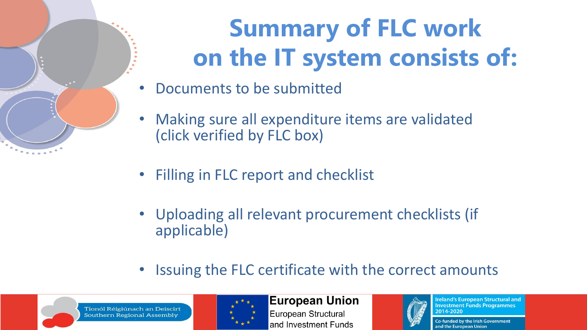## **Summary of FLC work on the IT system consists of:**

- Documents to be submitted
- Making sure all expenditure items are validated (click verified by FLC box)
- Filling in FLC report and checklist
- Uploading all relevant procurement checklists (if applicable)
- Issuing the FLC certificate with the correct amounts





#### **European Union**

European Structural and Investment Funds



**Ireland's European Structural and Investment Funds Programmes** 2014-2020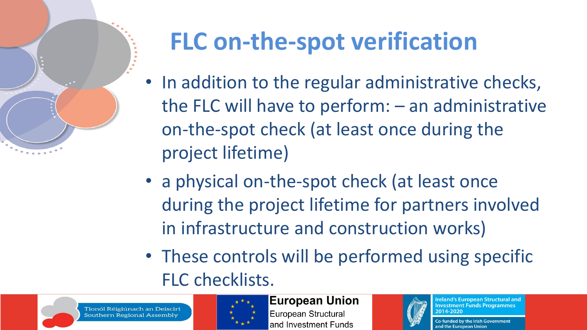

## **FLC on-the-spot verification**

- In addition to the regular administrative checks, the FLC will have to perform: – an administrative on-the-spot check (at least once during the project lifetime)
- a physical on-the-spot check (at least once during the project lifetime for partners involved in infrastructure and construction works)
- These controls will be performed using specific FLC checklists.





**European Union** 

European Structural and Investment Funds



**Ireland's European Structural and Investment Funds Programmes** 2014-2020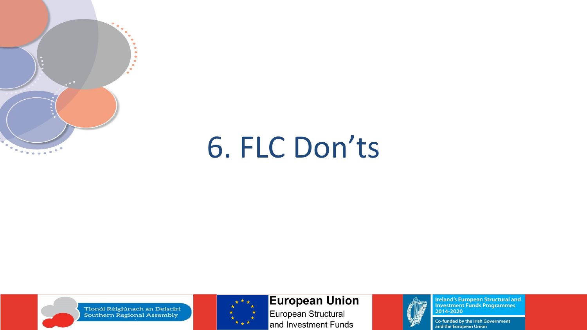

## 6. FLC Don'ts



Tionól Réigiúnach an Deiscirt Southern Regional Assembly



**European Union** 

European Structural and Investment Funds



**Ireland's European Structural and<br>Investment Funds Programmes<br>2014-2020**